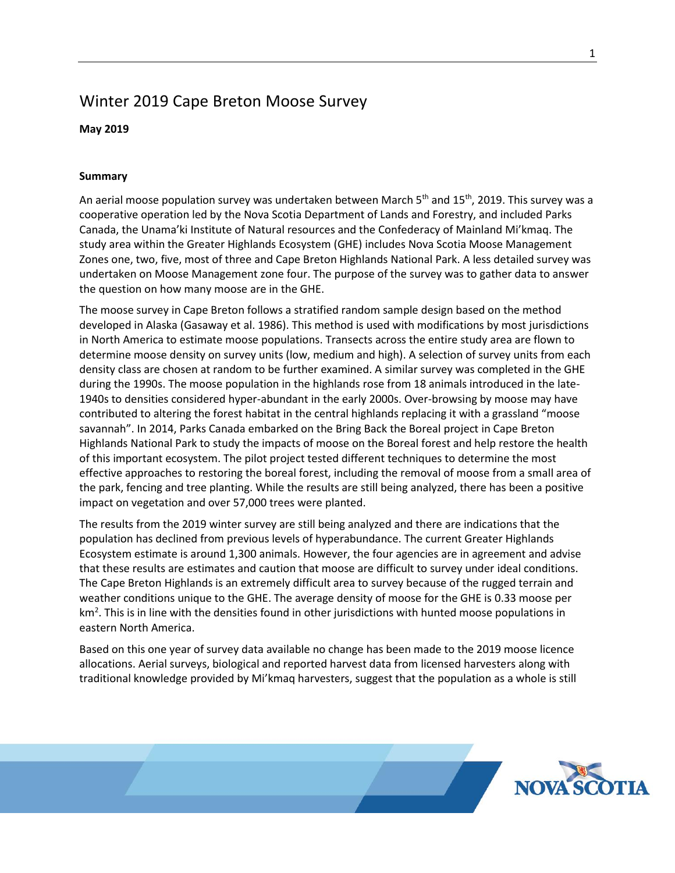## Winter 2019 Cape Breton Moose Survey

## **May 2019**

## **Summary**

An aerial moose population survey was undertaken between March 5<sup>th</sup> and 15<sup>th</sup>, 2019. This survey was a cooperative operation led by the Nova Scotia Department of Lands and Forestry, and included Parks Canada, the Unama'ki Institute of Natural resources and the Confederacy of Mainland Mi'kmaq. The study area within the Greater Highlands Ecosystem (GHE) includes Nova Scotia Moose Management Zones one, two, five, most of three and Cape Breton Highlands National Park. A less detailed survey was undertaken on Moose Management zone four. The purpose of the survey was to gather data to answer the question on how many moose are in the GHE.

The moose survey in Cape Breton follows a stratified random sample design based on the method developed in Alaska (Gasaway et al. 1986). This method is used with modifications by most jurisdictions in North America to estimate moose populations. Transects across the entire study area are flown to determine moose density on survey units (low, medium and high). A selection of survey units from each density class are chosen at random to be further examined. A similar survey was completed in the GHE during the 1990s. The moose population in the highlands rose from 18 animals introduced in the late-1940s to densities considered hyper-abundant in the early 2000s. Over-browsing by moose may have contributed to altering the forest habitat in the central highlands replacing it with a grassland "moose savannah". In 2014, Parks Canada embarked on the Bring Back the Boreal project in Cape Breton Highlands National Park to study the impacts of moose on the Boreal forest and help restore the health of this important ecosystem. The pilot project tested different techniques to determine the most effective approaches to restoring the boreal forest, including the removal of moose from a small area of the park, fencing and tree planting. While the results are still being analyzed, there has been a positive impact on vegetation and over 57,000 trees were planted.

The results from the 2019 winter survey are still being analyzed and there are indications that the population has declined from previous levels of hyperabundance. The current Greater Highlands Ecosystem estimate is around 1,300 animals. However, the four agencies are in agreement and advise that these results are estimates and caution that moose are difficult to survey under ideal conditions. The Cape Breton Highlands is an extremely difficult area to survey because of the rugged terrain and weather conditions unique to the GHE. The average density of moose for the GHE is 0.33 moose per  $km<sup>2</sup>$ . This is in line with the densities found in other jurisdictions with hunted moose populations in eastern North America.

Based on this one year of survey data available no change has been made to the 2019 moose licence allocations. Aerial surveys, biological and reported harvest data from licensed harvesters along with traditional knowledge provided by Mi'kmaq harvesters, suggest that the population as a whole is still